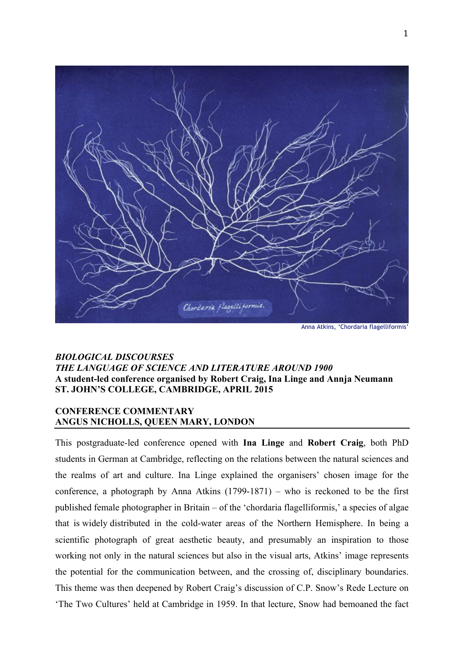

Anna Atkins, 'Chordaria flagelliformis'

## *BIOLOGICAL DISCOURSES THE LANGUAGE OF SCIENCE AND LITERATURE AROUND 1900* **A student-led conference organised by Robert Craig, Ina Linge and Annja Neumann ST. JOHN'S COLLEGE, CAMBRIDGE, APRIL 2015**

## **CONFERENCE COMMENTARY ANGUS NICHOLLS, QUEEN MARY, LONDON**

This postgraduate-led conference opened with **Ina Linge** and **Robert Craig**, both PhD students in German at Cambridge, reflecting on the relations between the natural sciences and the realms of art and culture. Ina Linge explained the organisers' chosen image for the conference, a photograph by Anna Atkins  $(1799-1871)$  – who is reckoned to be the first published female photographer in Britain – of the 'chordaria flagelliformis,' a species of algae that is widely distributed in the cold-water areas of the Northern Hemisphere. In being a scientific photograph of great aesthetic beauty, and presumably an inspiration to those working not only in the natural sciences but also in the visual arts, Atkins' image represents the potential for the communication between, and the crossing of, disciplinary boundaries. This theme was then deepened by Robert Craig's discussion of C.P. Snow's Rede Lecture on 'The Two Cultures' held at Cambridge in 1959. In that lecture, Snow had bemoaned the fact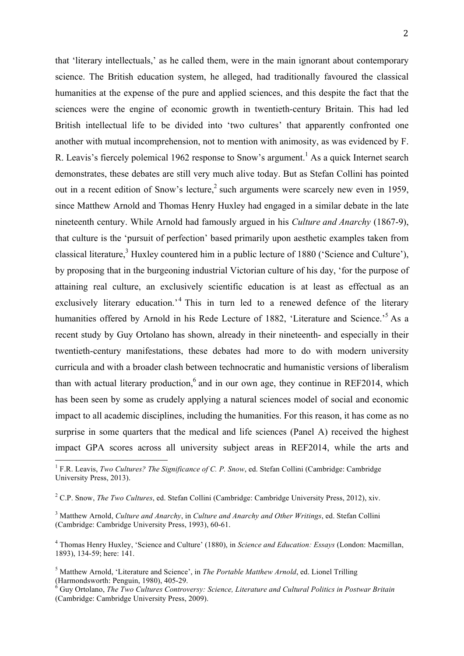that 'literary intellectuals,' as he called them, were in the main ignorant about contemporary science. The British education system, he alleged, had traditionally favoured the classical humanities at the expense of the pure and applied sciences, and this despite the fact that the sciences were the engine of economic growth in twentieth-century Britain. This had led British intellectual life to be divided into 'two cultures' that apparently confronted one another with mutual incomprehension, not to mention with animosity, as was evidenced by F. R. Leavis's fiercely polemical 1962 response to Snow's argument.<sup>1</sup> As a quick Internet search demonstrates, these debates are still very much alive today. But as Stefan Collini has pointed out in a recent edition of Snow's lecture,  $2 \text{ such arguments were scarcely new even in 1959}$ , since Matthew Arnold and Thomas Henry Huxley had engaged in a similar debate in the late nineteenth century. While Arnold had famously argued in his *Culture and Anarchy* (1867-9), that culture is the 'pursuit of perfection' based primarily upon aesthetic examples taken from classical literature, <sup>3</sup> Huxley countered him in a public lecture of 1880 ('Science and Culture'), by proposing that in the burgeoning industrial Victorian culture of his day, 'for the purpose of attaining real culture, an exclusively scientific education is at least as effectual as an exclusively literary education.<sup>4</sup> This in turn led to a renewed defence of the literary humanities offered by Arnold in his Rede Lecture of 1882, 'Literature and Science.'<sup>5</sup> As a recent study by Guy Ortolano has shown, already in their nineteenth- and especially in their twentieth-century manifestations, these debates had more to do with modern university curricula and with a broader clash between technocratic and humanistic versions of liberalism than with actual literary production,  $6$  and in our own age, they continue in REF2014, which has been seen by some as crudely applying a natural sciences model of social and economic impact to all academic disciplines, including the humanities. For this reason, it has come as no surprise in some quarters that the medical and life sciences (Panel A) received the highest impact GPA scores across all university subject areas in REF2014, while the arts and

<sup>&</sup>lt;sup>1</sup> F.R. Leavis, *Two Cultures? The Significance of C. P. Snow*, ed. Stefan Collini (Cambridge: Cambridge) University Press, 2013).

<sup>2</sup> C.P. Snow, *The Two Cultures*, ed. Stefan Collini (Cambridge: Cambridge University Press, 2012), xiv.

<sup>3</sup> Matthew Arnold, *Culture and Anarchy*, in *Culture and Anarchy and Other Writings*, ed. Stefan Collini (Cambridge: Cambridge University Press, 1993), 60-61.

<sup>4</sup> Thomas Henry Huxley, 'Science and Culture' (1880), in *Science and Education: Essays* (London: Macmillan, 1893), 134-59; here: 141.

<sup>&</sup>lt;sup>5</sup> Matthew Arnold, 'Literature and Science', in *The Portable Matthew Arnold*, ed. Lionel Trilling (Harmondsworth: Penguin, 1980), 405-29.

<sup>&</sup>lt;sup>6</sup> Guy Ortolano, *The Two Cultures Controversy: Science, Literature and Cultural Politics in Postwar Britain* (Cambridge: Cambridge University Press, 2009).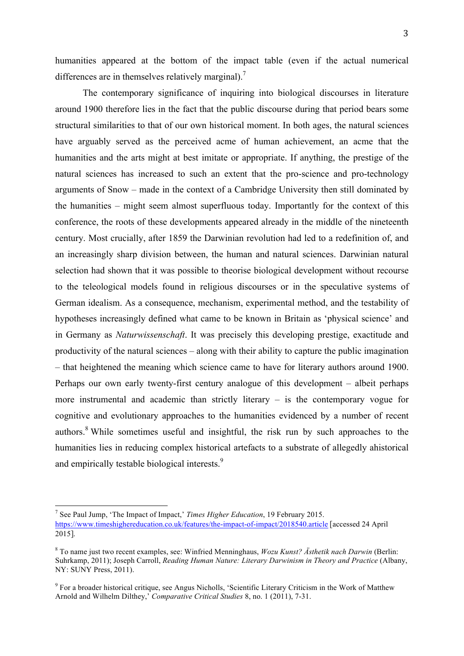humanities appeared at the bottom of the impact table (even if the actual numerical differences are in themselves relatively marginal).<sup>7</sup>

The contemporary significance of inquiring into biological discourses in literature around 1900 therefore lies in the fact that the public discourse during that period bears some structural similarities to that of our own historical moment. In both ages, the natural sciences have arguably served as the perceived acme of human achievement, an acme that the humanities and the arts might at best imitate or appropriate. If anything, the prestige of the natural sciences has increased to such an extent that the pro-science and pro-technology arguments of Snow – made in the context of a Cambridge University then still dominated by the humanities – might seem almost superfluous today. Importantly for the context of this conference, the roots of these developments appeared already in the middle of the nineteenth century. Most crucially, after 1859 the Darwinian revolution had led to a redefinition of, and an increasingly sharp division between, the human and natural sciences. Darwinian natural selection had shown that it was possible to theorise biological development without recourse to the teleological models found in religious discourses or in the speculative systems of German idealism. As a consequence, mechanism, experimental method, and the testability of hypotheses increasingly defined what came to be known in Britain as 'physical science' and in Germany as *Naturwissenschaft*. It was precisely this developing prestige, exactitude and productivity of the natural sciences – along with their ability to capture the public imagination – that heightened the meaning which science came to have for literary authors around 1900. Perhaps our own early twenty-first century analogue of this development – albeit perhaps more instrumental and academic than strictly literary – is the contemporary vogue for cognitive and evolutionary approaches to the humanities evidenced by a number of recent authors.<sup>8</sup> While sometimes useful and insightful, the risk run by such approaches to the humanities lies in reducing complex historical artefacts to a substrate of allegedly ahistorical and empirically testable biological interests.<sup>9</sup>

 <sup>7</sup> See Paul Jump, 'The Impact of Impact,' *Times Higher Education*, 19 February 2015. https://www.timeshighereducation.co.uk/features/the-impact-of-impact/2018540.article [accessed 24 April 2015].

<sup>8</sup> To name just two recent examples, see: Winfried Menninghaus, *Wozu Kunst? Ästhetik nach Darwin* (Berlin: Suhrkamp, 2011); Joseph Carroll, *Reading Human Nature: Literary Darwinism in Theory and Practice* (Albany, NY: SUNY Press, 2011).

<sup>&</sup>lt;sup>9</sup> For a broader historical critique, see Angus Nicholls, 'Scientific Literary Criticism in the Work of Matthew Arnold and Wilhelm Dilthey,' *Comparative Critical Studies* 8, no. 1 (2011), 7-31.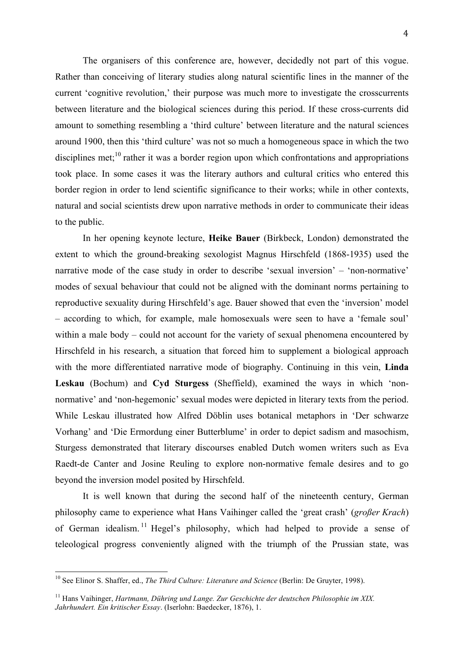The organisers of this conference are, however, decidedly not part of this vogue. Rather than conceiving of literary studies along natural scientific lines in the manner of the current 'cognitive revolution,' their purpose was much more to investigate the crosscurrents between literature and the biological sciences during this period. If these cross-currents did amount to something resembling a 'third culture' between literature and the natural sciences around 1900, then this 'third culture' was not so much a homogeneous space in which the two disciplines met;<sup>10</sup> rather it was a border region upon which confrontations and appropriations took place. In some cases it was the literary authors and cultural critics who entered this border region in order to lend scientific significance to their works; while in other contexts, natural and social scientists drew upon narrative methods in order to communicate their ideas to the public.

In her opening keynote lecture, **Heike Bauer** (Birkbeck, London) demonstrated the extent to which the ground-breaking sexologist Magnus Hirschfeld (1868-1935) used the narrative mode of the case study in order to describe 'sexual inversion' – 'non-normative' modes of sexual behaviour that could not be aligned with the dominant norms pertaining to reproductive sexuality during Hirschfeld's age. Bauer showed that even the 'inversion' model – according to which, for example, male homosexuals were seen to have a 'female soul' within a male body – could not account for the variety of sexual phenomena encountered by Hirschfeld in his research, a situation that forced him to supplement a biological approach with the more differentiated narrative mode of biography. Continuing in this vein, **Linda Leskau** (Bochum) and **Cyd Sturgess** (Sheffield), examined the ways in which 'nonnormative' and 'non-hegemonic' sexual modes were depicted in literary texts from the period. While Leskau illustrated how Alfred Döblin uses botanical metaphors in 'Der schwarze Vorhang' and 'Die Ermordung einer Butterblume' in order to depict sadism and masochism, Sturgess demonstrated that literary discourses enabled Dutch women writers such as Eva Raedt-de Canter and Josine Reuling to explore non-normative female desires and to go beyond the inversion model posited by Hirschfeld.

It is well known that during the second half of the nineteenth century, German philosophy came to experience what Hans Vaihinger called the 'great crash' (*großer Krach*) of German idealism. <sup>11</sup> Hegel's philosophy, which had helped to provide a sense of teleological progress conveniently aligned with the triumph of the Prussian state, was

 <sup>10</sup> See Elinor S. Shaffer, ed., *The Third Culture: Literature and Science* (Berlin: De Gruyter, 1998).

<sup>&</sup>lt;sup>11</sup> Hans Vaihinger, *Hartmann, Dühring und Lange. Zur Geschichte der deutschen Philosophie im XIX. Jahrhundert. Ein kritischer Essay*. (Iserlohn: Baedecker, 1876), 1.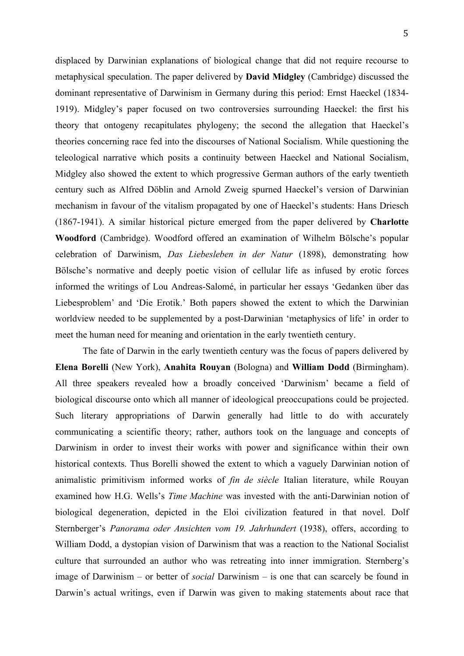displaced by Darwinian explanations of biological change that did not require recourse to metaphysical speculation. The paper delivered by **David Midgley** (Cambridge) discussed the dominant representative of Darwinism in Germany during this period: Ernst Haeckel (1834- 1919). Midgley's paper focused on two controversies surrounding Haeckel: the first his theory that ontogeny recapitulates phylogeny; the second the allegation that Haeckel's theories concerning race fed into the discourses of National Socialism. While questioning the teleological narrative which posits a continuity between Haeckel and National Socialism, Midgley also showed the extent to which progressive German authors of the early twentieth century such as Alfred Döblin and Arnold Zweig spurned Haeckel's version of Darwinian mechanism in favour of the vitalism propagated by one of Haeckel's students: Hans Driesch (1867-1941). A similar historical picture emerged from the paper delivered by **Charlotte Woodford** (Cambridge). Woodford offered an examination of Wilhelm Bölsche's popular celebration of Darwinism, *Das Liebesleben in der Natur* (1898), demonstrating how Bölsche's normative and deeply poetic vision of cellular life as infused by erotic forces informed the writings of Lou Andreas-Salomé, in particular her essays 'Gedanken über das Liebesproblem' and 'Die Erotik.' Both papers showed the extent to which the Darwinian worldview needed to be supplemented by a post-Darwinian 'metaphysics of life' in order to meet the human need for meaning and orientation in the early twentieth century.

The fate of Darwin in the early twentieth century was the focus of papers delivered by **Elena Borelli** (New York), **Anahita Rouyan** (Bologna) and **William Dodd** (Birmingham). All three speakers revealed how a broadly conceived 'Darwinism' became a field of biological discourse onto which all manner of ideological preoccupations could be projected. Such literary appropriations of Darwin generally had little to do with accurately communicating a scientific theory; rather, authors took on the language and concepts of Darwinism in order to invest their works with power and significance within their own historical contexts. Thus Borelli showed the extent to which a vaguely Darwinian notion of animalistic primitivism informed works of *fin de siècle* Italian literature, while Rouyan examined how H.G. Wells's *Time Machine* was invested with the anti-Darwinian notion of biological degeneration, depicted in the Eloi civilization featured in that novel. Dolf Sternberger's *Panorama oder Ansichten vom 19. Jahrhundert* (1938), offers, according to William Dodd, a dystopian vision of Darwinism that was a reaction to the National Socialist culture that surrounded an author who was retreating into inner immigration. Sternberg's image of Darwinism – or better of *social* Darwinism – is one that can scarcely be found in Darwin's actual writings, even if Darwin was given to making statements about race that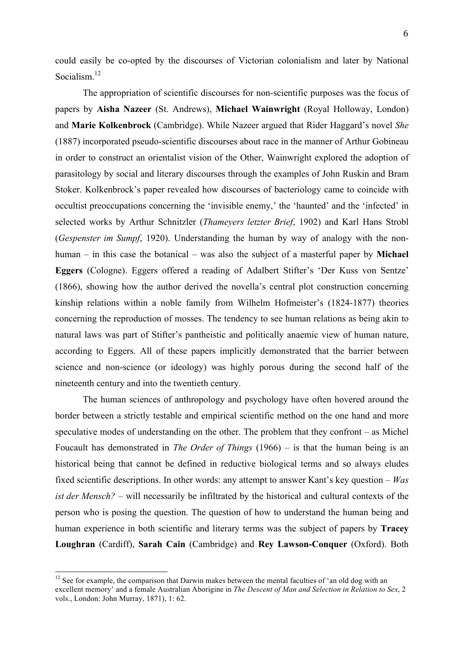could easily be co-opted by the discourses of Victorian colonialism and later by National Socialism. 12

The appropriation of scientific discourses for non-scientific purposes was the focus of papers by **Aisha Nazeer** (St. Andrews), **Michael Wainwright** (Royal Holloway, London) and **Marie Kolkenbrock** (Cambridge). While Nazeer argued that Rider Haggard's novel *She*  (1887) incorporated pseudo-scientific discourses about race in the manner of Arthur Gobineau in order to construct an orientalist vision of the Other, Wainwright explored the adoption of parasitology by social and literary discourses through the examples of John Ruskin and Bram Stoker. Kolkenbrock's paper revealed how discourses of bacteriology came to coincide with occultist preoccupations concerning the 'invisible enemy,' the 'haunted' and the 'infected' in selected works by Arthur Schnitzler (*Thameyers letzter Brief*, 1902) and Karl Hans Strobl (*Gespenster im Sumpf*, 1920). Understanding the human by way of analogy with the nonhuman – in this case the botanical – was also the subject of a masterful paper by **Michael Eggers** (Cologne). Eggers offered a reading of Adalbert Stifter's 'Der Kuss von Sentze' (1866), showing how the author derived the novella's central plot construction concerning kinship relations within a noble family from Wilhelm Hofmeister's (1824-1877) theories concerning the reproduction of mosses. The tendency to see human relations as being akin to natural laws was part of Stifter's pantheistic and politically anaemic view of human nature, according to Eggers. All of these papers implicitly demonstrated that the barrier between science and non-science (or ideology) was highly porous during the second half of the nineteenth century and into the twentieth century.

The human sciences of anthropology and psychology have often hovered around the border between a strictly testable and empirical scientific method on the one hand and more speculative modes of understanding on the other. The problem that they confront – as Michel Foucault has demonstrated in *The Order of Things* (1966) – is that the human being is an historical being that cannot be defined in reductive biological terms and so always eludes fixed scientific descriptions. In other words: any attempt to answer Kant's key question – *Was ist der Mensch?* – will necessarily be infiltrated by the historical and cultural contexts of the person who is posing the question. The question of how to understand the human being and human experience in both scientific and literary terms was the subject of papers by **Tracey Loughran** (Cardiff), **Sarah Cain** (Cambridge) and **Rey Lawson-Conquer** (Oxford). Both

 $12$  See for example, the comparison that Darwin makes between the mental faculties of 'an old dog with an excellent memory' and a female Australian Aborigine in *The Descent of Man and Selection in Relation to Sex*, 2 vols., London: John Murray, 1871), 1: 62.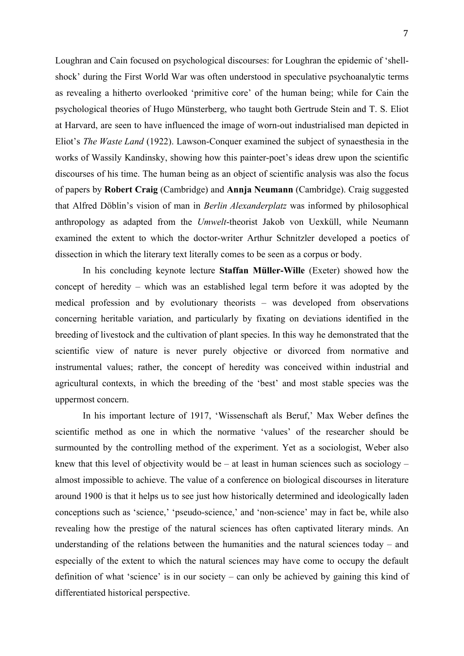Loughran and Cain focused on psychological discourses: for Loughran the epidemic of 'shellshock' during the First World War was often understood in speculative psychoanalytic terms as revealing a hitherto overlooked 'primitive core' of the human being; while for Cain the psychological theories of Hugo Münsterberg, who taught both Gertrude Stein and T. S. Eliot at Harvard, are seen to have influenced the image of worn-out industrialised man depicted in Eliot's *The Waste Land* (1922). Lawson-Conquer examined the subject of synaesthesia in the works of Wassily Kandinsky, showing how this painter-poet's ideas drew upon the scientific discourses of his time. The human being as an object of scientific analysis was also the focus of papers by **Robert Craig** (Cambridge) and **Annja Neumann** (Cambridge). Craig suggested that Alfred Döblin's vision of man in *Berlin Alexanderplatz* was informed by philosophical anthropology as adapted from the *Umwelt*-theorist Jakob von Uexküll, while Neumann examined the extent to which the doctor-writer Arthur Schnitzler developed a poetics of dissection in which the literary text literally comes to be seen as a corpus or body.

In his concluding keynote lecture **Staffan Müller-Wille** (Exeter) showed how the concept of heredity – which was an established legal term before it was adopted by the medical profession and by evolutionary theorists – was developed from observations concerning heritable variation, and particularly by fixating on deviations identified in the breeding of livestock and the cultivation of plant species. In this way he demonstrated that the scientific view of nature is never purely objective or divorced from normative and instrumental values; rather, the concept of heredity was conceived within industrial and agricultural contexts, in which the breeding of the 'best' and most stable species was the uppermost concern.

In his important lecture of 1917, 'Wissenschaft als Beruf,' Max Weber defines the scientific method as one in which the normative 'values' of the researcher should be surmounted by the controlling method of the experiment. Yet as a sociologist, Weber also knew that this level of objectivity would be – at least in human sciences such as sociology – almost impossible to achieve. The value of a conference on biological discourses in literature around 1900 is that it helps us to see just how historically determined and ideologically laden conceptions such as 'science,' 'pseudo-science,' and 'non-science' may in fact be, while also revealing how the prestige of the natural sciences has often captivated literary minds. An understanding of the relations between the humanities and the natural sciences today – and especially of the extent to which the natural sciences may have come to occupy the default definition of what 'science' is in our society – can only be achieved by gaining this kind of differentiated historical perspective.